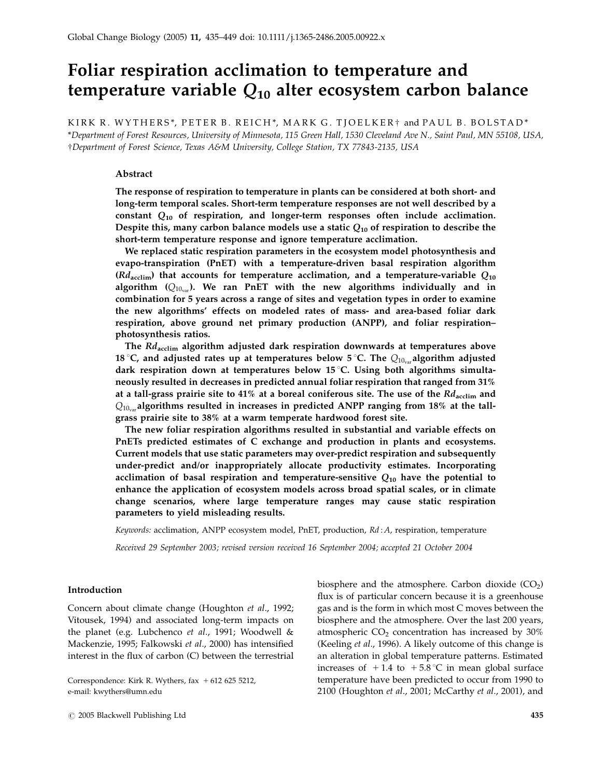# Foliar respiration acclimation to temperature and temperature variable  $Q_{10}$  alter ecosystem carbon balance

KIRK R. WYTHERS\*, PETER B. REICH\*, MARK G. TJOELKER† and PAUL B. BOLSTAD\*

\*Department of Forest Resources, University of Minnesota, 115 Green Hall, 1530 Cleveland Ave N., Saint Paul, MN 55108, USA, wDepartment of Forest Science, Texas A&M University, College Station, TX 77843-2135, USA

# Abstract

The response of respiration to temperature in plants can be considered at both short- and long-term temporal scales. Short-term temperature responses are not well described by a constant  $Q_{10}$  of respiration, and longer-term responses often include acclimation. Despite this, many carbon balance models use a static  $Q_{10}$  of respiration to describe the short-term temperature response and ignore temperature acclimation.

We replaced static respiration parameters in the ecosystem model photosynthesis and evapo-transpiration (PnET) with a temperature-driven basal respiration algorithm ( $Rd_{\text{acclim}}$ ) that accounts for temperature acclimation, and a temperature-variable  $Q_{10}$ algorithm  $(Q_{10_{\text{var}}})$ . We ran PnET with the new algorithms individually and in combination for 5 years across a range of sites and vegetation types in order to examine the new algorithms' effects on modeled rates of mass- and area-based foliar dark respiration, above ground net primary production (ANPP), and foliar respiration– photosynthesis ratios.

The  $Rd_{\text{acclim}}$  algorithm adjusted dark respiration downwards at temperatures above 18 °C, and adjusted rates up at temperatures below 5 °C. The  $Q_{10}$ <sub>car</sub> algorithm adjusted dark respiration down at temperatures below 15 °C. Using both algorithms simultaneously resulted in decreases in predicted annual foliar respiration that ranged from 31% at a tall-grass prairie site to 41% at a boreal coniferous site. The use of the  $Rd_{\text{acclim}}$  and  $Q_{10_{\text{var}}}$  algorithms resulted in increases in predicted ANPP ranging from 18% at the tallgrass prairie site to 38% at a warm temperate hardwood forest site.

The new foliar respiration algorithms resulted in substantial and variable effects on PnETs predicted estimates of C exchange and production in plants and ecosystems. Current models that use static parameters may over-predict respiration and subsequently under-predict and/or inappropriately allocate productivity estimates. Incorporating acclimation of basal respiration and temperature-sensitive  $Q_{10}$  have the potential to enhance the application of ecosystem models across broad spatial scales, or in climate change scenarios, where large temperature ranges may cause static respiration parameters to yield misleading results.

Keywords: acclimation, ANPP ecosystem model, PnET, production,  $Rd: A$ , respiration, temperature

Received 29 September 2003; revised version received 16 September 2004; accepted 21 October 2004

# Introduction

Concern about climate change (Houghton et al., 1992; Vitousek, 1994) and associated long-term impacts on the planet (e.g. Lubchenco et al., 1991; Woodwell & Mackenzie, 1995; Falkowski et al., 2000) has intensified interest in the flux of carbon (C) between the terrestrial

Correspondence: Kirk R. Wythers,  $fax + 612 625 5212$ , e-mail: kwythers@umn.edu

biosphere and the atmosphere. Carbon dioxide  $(CO<sub>2</sub>)$ flux is of particular concern because it is a greenhouse gas and is the form in which most C moves between the biosphere and the atmosphere. Over the last 200 years, atmospheric  $CO<sub>2</sub>$  concentration has increased by 30% (Keeling et al., 1996). A likely outcome of this change is an alteration in global temperature patterns. Estimated increases of  $+ 1.4$  to  $+ 5.8$  °C in mean global surface temperature have been predicted to occur from 1990 to 2100 (Houghton et al., 2001; McCarthy et al., 2001), and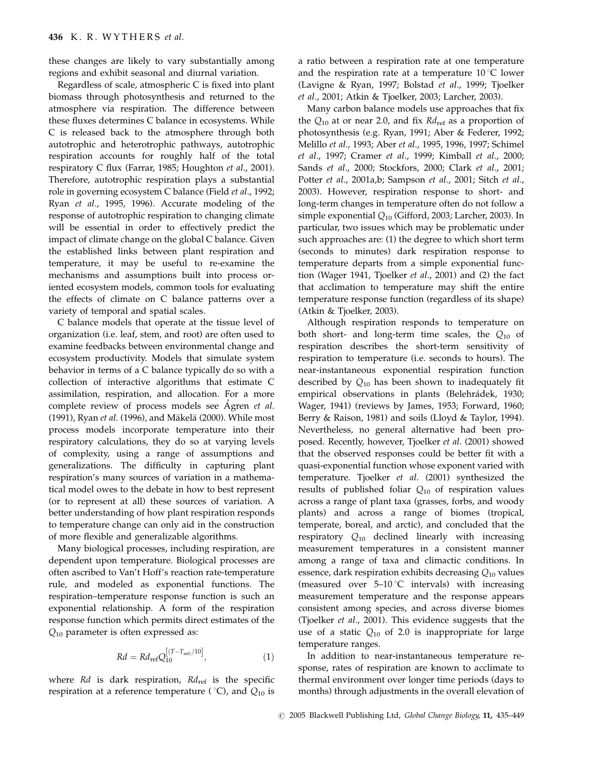these changes are likely to vary substantially among regions and exhibit seasonal and diurnal variation.

Regardless of scale, atmospheric C is fixed into plant biomass through photosynthesis and returned to the atmosphere via respiration. The difference between these fluxes determines C balance in ecosystems. While C is released back to the atmosphere through both autotrophic and heterotrophic pathways, autotrophic respiration accounts for roughly half of the total respiratory C flux (Farrar, 1985; Houghton et al., 2001). Therefore, autotrophic respiration plays a substantial role in governing ecosystem C balance (Field et al., 1992; Ryan et al., 1995, 1996). Accurate modeling of the response of autotrophic respiration to changing climate will be essential in order to effectively predict the impact of climate change on the global C balance. Given the established links between plant respiration and temperature, it may be useful to re-examine the mechanisms and assumptions built into process oriented ecosystem models, common tools for evaluating the effects of climate on C balance patterns over a variety of temporal and spatial scales.

C balance models that operate at the tissue level of organization (i.e. leaf, stem, and root) are often used to examine feedbacks between environmental change and ecosystem productivity. Models that simulate system behavior in terms of a C balance typically do so with a collection of interactive algorithms that estimate C assimilation, respiration, and allocation. For a more complete review of process models see Agren et al. (1991), Ryan et al. (1996), and Mäkelä (2000). While most process models incorporate temperature into their respiratory calculations, they do so at varying levels of complexity, using a range of assumptions and generalizations. The difficulty in capturing plant respiration's many sources of variation in a mathematical model owes to the debate in how to best represent (or to represent at all) these sources of variation. A better understanding of how plant respiration responds to temperature change can only aid in the construction of more flexible and generalizable algorithms.

Many biological processes, including respiration, are dependent upon temperature. Biological processes are often ascribed to Van't Hoff's reaction rate-temperature rule, and modeled as exponential functions. The respiration–temperature response function is such an exponential relationship. A form of the respiration response function which permits direct estimates of the  $Q_{10}$  parameter is often expressed as:

$$
Rd = Rd_{\text{ref}} Q_{10}^{\left[ (T - T_{\text{ref}}) / 10 \right]},\tag{1}
$$

where  $Rd$  is dark respiration,  $Rd_{ref}$  is the specific respiration at a reference temperature ( $\degree$ C), and  $Q_{10}$  is a ratio between a respiration rate at one temperature and the respiration rate at a temperature  $10^{\circ}$ C lower (Lavigne & Ryan, 1997; Bolstad et al., 1999; Tjoelker et al., 2001; Atkin & Tjoelker, 2003; Larcher, 2003).

Many carbon balance models use approaches that fix the  $Q_{10}$  at or near 2.0, and fix  $Rd_{ref}$  as a proportion of photosynthesis (e.g. Ryan, 1991; Aber & Federer, 1992; Melillo et al., 1993; Aber et al., 1995, 1996, 1997; Schimel et al., 1997; Cramer et al., 1999; Kimball et al., 2000; Sands et al., 2000; Stockfors, 2000; Clark et al., 2001; Potter et al., 2001a,b; Sampson et al., 2001; Sitch et al., 2003). However, respiration response to short- and long-term changes in temperature often do not follow a simple exponential  $Q_{10}$  (Gifford, 2003; Larcher, 2003). In particular, two issues which may be problematic under such approaches are: (1) the degree to which short term (seconds to minutes) dark respiration response to temperature departs from a simple exponential function (Wager 1941, Tjoelker et al., 2001) and (2) the fact that acclimation to temperature may shift the entire temperature response function (regardless of its shape) (Atkin & Tjoelker, 2003).

Although respiration responds to temperature on both short- and long-term time scales, the  $Q_{10}$  of respiration describes the short-term sensitivity of respiration to temperature (i.e. seconds to hours). The near-instantaneous exponential respiration function described by  $Q_{10}$  has been shown to inadequately fit empirical observations in plants (Belehrádek, 1930; Wager, 1941) (reviews by James, 1953; Forward, 1960; Berry & Raison, 1981) and soils (Lloyd & Taylor, 1994). Nevertheless, no general alternative had been proposed. Recently, however, Tjoelker et al. (2001) showed that the observed responses could be better fit with a quasi-exponential function whose exponent varied with temperature. Tjoelker et al. (2001) synthesized the results of published foliar  $Q_{10}$  of respiration values across a range of plant taxa (grasses, forbs, and woody plants) and across a range of biomes (tropical, temperate, boreal, and arctic), and concluded that the respiratory  $Q_{10}$  declined linearly with increasing measurement temperatures in a consistent manner among a range of taxa and climactic conditions. In essence, dark respiration exhibits decreasing  $Q_{10}$  values (measured over  $5-10$  °C intervals) with increasing measurement temperature and the response appears consistent among species, and across diverse biomes (Tjoelker et al., 2001). This evidence suggests that the use of a static  $Q_{10}$  of 2.0 is inappropriate for large temperature ranges.

In addition to near-instantaneous temperature response, rates of respiration are known to acclimate to thermal environment over longer time periods (days to months) through adjustments in the overall elevation of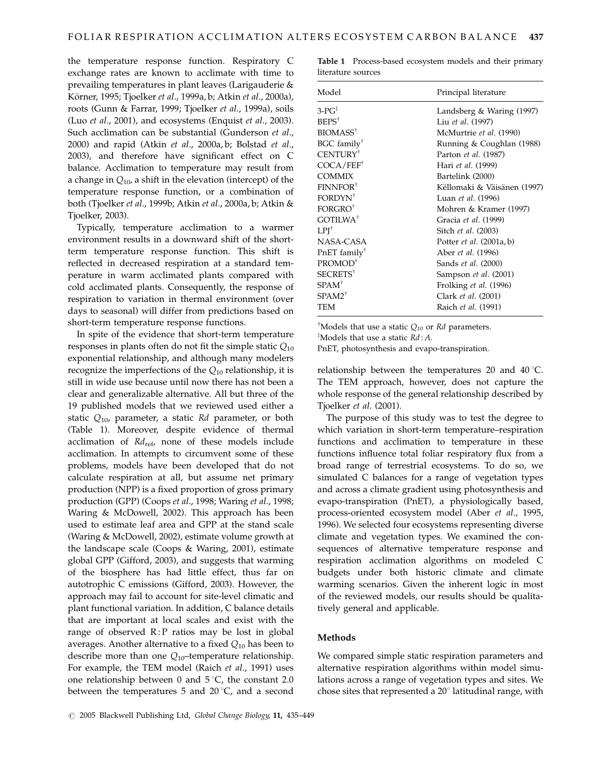the temperature response function. Respiratory C exchange rates are known to acclimate with time to prevailing temperatures in plant leaves (Larigauderie & Körner, 1995; Tjoelker et al., 1999a, b; Atkin et al., 2000a), roots (Gunn & Farrar, 1999; Tjoelker et al., 1999a), soils (Luo et al., 2001), and ecosystems (Enquist et al., 2003). Such acclimation can be substantial (Gunderson et al., 2000) and rapid (Atkin et al., 2000a, b; Bolstad et al., 2003), and therefore have significant effect on C balance. Acclimation to temperature may result from a change in  $Q_{10}$ , a shift in the elevation (intercept) of the temperature response function, or a combination of both (Tjoelker et al., 1999b; Atkin et al., 2000a, b; Atkin & Tjoelker, 2003).

Typically, temperature acclimation to a warmer environment results in a downward shift of the shortterm temperature response function. This shift is reflected in decreased respiration at a standard temperature in warm acclimated plants compared with cold acclimated plants. Consequently, the response of respiration to variation in thermal environment (over days to seasonal) will differ from predictions based on short-term temperature response functions.

In spite of the evidence that short-term temperature responses in plants often do not fit the simple static  $Q_{10}$ exponential relationship, and although many modelers recognize the imperfections of the  $Q_{10}$  relationship, it is still in wide use because until now there has not been a clear and generalizable alternative. All but three of the 19 published models that we reviewed used either a static  $Q_{10}$ , parameter, a static Rd parameter, or both (Table 1). Moreover, despite evidence of thermal acclimation of  $Rd_{ref}$ , none of these models include acclimation. In attempts to circumvent some of these problems, models have been developed that do not calculate respiration at all, but assume net primary production (NPP) is a fixed proportion of gross primary production (GPP) (Coops et al., 1998; Waring et al., 1998; Waring & McDowell, 2002). This approach has been used to estimate leaf area and GPP at the stand scale (Waring & McDowell, 2002), estimate volume growth at the landscape scale (Coops & Waring, 2001), estimate global GPP (Gifford, 2003), and suggests that warming of the biosphere has had little effect, thus far on autotrophic C emissions (Gifford, 2003). However, the approach may fail to account for site-level climatic and plant functional variation. In addition, C balance details that are important at local scales and exist with the range of observed  $R : P$  ratios may be lost in global averages. Another alternative to a fixed  $Q_{10}$  has been to describe more than one  $Q_{10}$ -temperature relationship. For example, the TEM model (Raich et al., 1991) uses one relationship between 0 and  $5^{\circ}C$ , the constant 2.0 between the temperatures 5 and 20 $\degree$ C, and a second

Table 1 Process-based ecosystem models and their primary literature sources

| Model                                         | Principal literature            |
|-----------------------------------------------|---------------------------------|
| $3-PG‡$                                       | Landsberg & Waring (1997)       |
| $BEPS^{\dagger}$                              | Liu et al. (1997)               |
| BIOMASS <sup>†</sup>                          | McMurtrie et al. (1990)         |
| $BGC$ family <sup><math>\bar{\ }</math></sup> | Running & Coughlan (1988)       |
| CENTURY <sup>†</sup>                          | Parton <i>et al.</i> (1987)     |
| COCA/FEF <sup>†</sup>                         | Hari et al. (1999)              |
| <b>COMMIX</b>                                 | Bartelink (2000)                |
| FINNFOR <sup>†</sup>                          | Këllomaki & Väisänen (1997)     |
| FORDYN <sup>†</sup>                           | Luan <i>et al.</i> (1996)       |
| FORGRO <sup>†</sup>                           | Mohren & Kramer (1997)          |
| GOTILWA <sup>†</sup>                          | Gracia et al. (1999)            |
| LPI <sup>†</sup>                              | Sitch et al. (2003)             |
| NASA-CASA                                     | Potter <i>et al.</i> (2001a, b) |
| PnET family $^{\dagger}$                      | Aber et al. (1996)              |
| PROMOD <sup>†</sup>                           | Sands et al. (2000)             |
| <b>SECRETS</b> <sup>†</sup>                   | Sampson et al. (2001)           |
| $SPAM^{\dagger}$                              | Frolking et al. (1996)          |
| $SPAM2^{\dagger}$                             | Clark et al. (2001)             |
| TEM                                           | Raich et al. (1991)             |

 $\mathbb{M}$  Models that use a static  $Q_{10}$  or Rd parameters.

<sup>‡</sup>Models that use a static  $Rd:A$ .

PnET, photosynthesis and evapo-transpiration.

relationship between the temperatures 20 and  $40^{\circ}$ C. The TEM approach, however, does not capture the whole response of the general relationship described by Tjoelker et al. (2001).

The purpose of this study was to test the degree to which variation in short-term temperature–respiration functions and acclimation to temperature in these functions influence total foliar respiratory flux from a broad range of terrestrial ecosystems. To do so, we simulated C balances for a range of vegetation types and across a climate gradient using photosynthesis and evapo-transpiration (PnET), a physiologically based, process-oriented ecosystem model (Aber et al., 1995, 1996). We selected four ecosystems representing diverse climate and vegetation types. We examined the consequences of alternative temperature response and respiration acclimation algorithms on modeled C budgets under both historic climate and climate warming scenarios. Given the inherent logic in most of the reviewed models, our results should be qualitatively general and applicable.

## Methods

We compared simple static respiration parameters and alternative respiration algorithms within model simulations across a range of vegetation types and sites. We chose sites that represented a  $20^{\circ}$  latitudinal range, with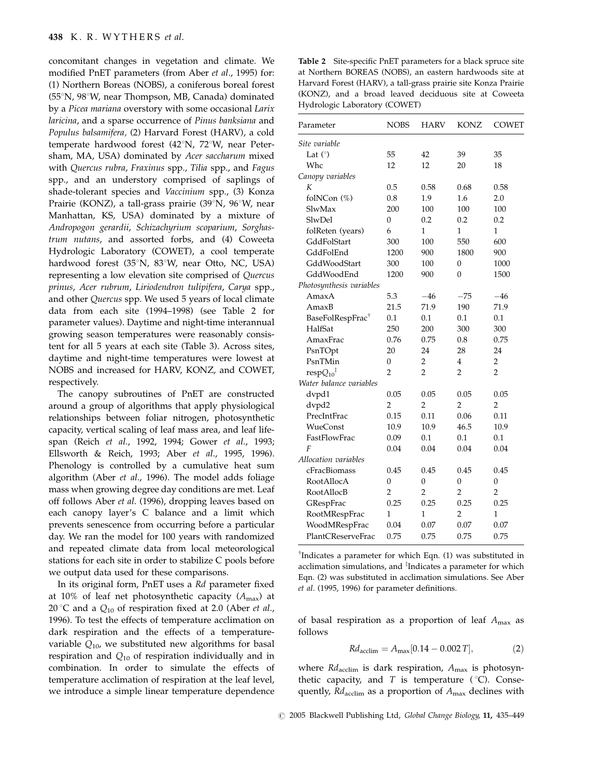concomitant changes in vegetation and climate. We modified PnET parameters (from Aber et al., 1995) for: (1) Northern Boreas (NOBS), a coniferous boreal forest  $(55^\circ N, 98^\circ W,$  near Thompson, MB, Canada) dominated by a Picea mariana overstory with some occasional Larix laricina, and a sparse occurrence of Pinus banksiana and Populus balsamifera, (2) Harvard Forest (HARV), a cold temperate hardwood forest  $(42^{\circ}N, 72^{\circ}W,$  near Petersham, MA, USA) dominated by Acer saccharum mixed with Quercus rubra, Fraxinus spp., Tilia spp., and Fagus spp., and an understory comprised of saplings of shade-tolerant species and Vaccinium spp., (3) Konza Prairie (KONZ), a tall-grass prairie (39°N, 96°W, near Manhattan, KS, USA) dominated by a mixture of Andropogon gerardii, Schizachyrium scoparium, Sorghastrum nutans, and assorted forbs, and (4) Coweeta Hydrologic Laboratory (COWET), a cool temperate hardwood forest (35°N, 83°W, near Otto, NC, USA) representing a low elevation site comprised of Quercus prinus, Acer rubrum, Liriodendron tulipifera, Carya spp., and other Quercus spp. We used 5 years of local climate data from each site (1994–1998) (see Table 2 for parameter values). Daytime and night-time interannual growing season temperatures were reasonably consistent for all 5 years at each site (Table 3). Across sites, daytime and night-time temperatures were lowest at NOBS and increased for HARV, KONZ, and COWET, respectively.

The canopy subroutines of PnET are constructed around a group of algorithms that apply physiological relationships between foliar nitrogen, photosynthetic capacity, vertical scaling of leaf mass area, and leaf lifespan (Reich et al., 1992, 1994; Gower et al., 1993; Ellsworth & Reich, 1993; Aber et al., 1995, 1996). Phenology is controlled by a cumulative heat sum algorithm (Aber et al., 1996). The model adds foliage mass when growing degree day conditions are met. Leaf off follows Aber et al. (1996), dropping leaves based on each canopy layer's C balance and a limit which prevents senescence from occurring before a particular day. We ran the model for 100 years with randomized and repeated climate data from local meteorological stations for each site in order to stabilize C pools before we output data used for these comparisons.

In its original form, PnET uses a Rd parameter fixed at 10% of leaf net photosynthetic capacity  $(A_{\text{max}})$  at 20 °C and a  $Q_{10}$  of respiration fixed at 2.0 (Aber *et al.*, 1996). To test the effects of temperature acclimation on dark respiration and the effects of a temperaturevariable  $Q_{10}$ , we substituted new algorithms for basal respiration and  $Q_{10}$  of respiration individually and in combination. In order to simulate the effects of temperature acclimation of respiration at the leaf level, we introduce a simple linear temperature dependence

Table 2 Site-specific PnET parameters for a black spruce site at Northern BOREAS (NOBS), an eastern hardwoods site at Harvard Forest (HARV), a tall-grass prairie site Konza Prairie (KONZ), and a broad leaved deciduous site at Coweeta Hydrologic Laboratory (COWET)

| Parameter                    | NOBS           | HARV           | KONZ           | COWET          |
|------------------------------|----------------|----------------|----------------|----------------|
| Site variable                |                |                |                |                |
| Lat $(°)$                    | 55             | 42             | 39             | 35             |
| Whc                          | 12             | 12             | 20             | 18             |
| Canopy variables             |                |                |                |                |
| K                            | 0.5            | 0.58           | 0.68           | 0.58           |
| folNCon (%)                  | 0.8            | 1.9            | 1.6            | 2.0            |
| SlwMax                       | 200            | 100            | 100            | 100            |
| SlwDel                       | 0              | 0.2            | 0.2            | 0.2            |
| folReten (years)             | 6              | 1              | 1              | 1              |
| GddFolStart                  | 300            | 100            | 550            | 600            |
| GddFolEnd                    | 1200           | 900            | 1800           | 900            |
| GddWoodStart                 | 300            | 100            | 0              | 1000           |
| GddWoodEnd                   | 1200           | 900            | 0              | 1500           |
| Photosynthesis variables     |                |                |                |                |
| AmaxA                        | 5.3            | $-46$          | -75            | $-46$          |
| AmaxB                        | 21.5           | 71.9           | 190            | 71.9           |
| BaseFolRespFrac <sup>†</sup> | 0.1            | 0.1            | 0.1            | 0.1            |
| HalfSat                      | 250            | 200            | 300            | 300            |
| AmaxFrac                     | 0.76           | 0.75           | 0.8            | 0.75           |
| PsnTOpt                      | 20             | 24             | 28             | 24             |
| PsnTMin                      | 0              | $\overline{2}$ | 4              | $\overline{2}$ |
| $respQ_{10}$ <sup>‡</sup>    | $\overline{2}$ | 2              | $\overline{2}$ | $\overline{2}$ |
| Water balance variables      |                |                |                |                |
| dvpd1                        | 0.05           | 0.05           | 0.05           | 0.05           |
| dvpd2                        | 2              | $\overline{2}$ | $\overline{2}$ | 2              |
| PrecIntFrac                  | 0.15           | 0.11           | 0.06           | 0.11           |
| WueConst                     | 10.9           | 10.9           | 46.5           | 10.9           |
| FastFlowFrac                 | 0.09           | 0.1            | 0.1            | 0.1            |
| F                            | 0.04           | 0.04           | 0.04           | 0.04           |
| Allocation variables         |                |                |                |                |
| cFracBiomass                 | 0.45           | 0.45           | 0.45           | 0.45           |
| RootAllocA                   | 0              | 0              | 0              | 0              |
| RootAllocB                   | 2              | $\overline{2}$ | 2              | $\overline{2}$ |
| GRespFrac                    | 0.25           | 0.25           | 0.25           | 0.25           |
| RootMRespFrac                | 1              | 1              | $\overline{2}$ | 1              |
| WoodMRespFrac                | 0.04           | 0.07           | 0.07           | 0.07           |
| PlantCReserveFrac            | 0.75           | 0.75           | 0.75           | 0.75           |

Indicates a parameter for which Eqn. (1) was substituted in acclimation simulations, and  ${}^{\ddagger}$ Indicates a parameter for which Eqn. (2) was substituted in acclimation simulations. See Aber et al. (1995, 1996) for parameter definitions.

of basal respiration as a proportion of leaf  $A_{\text{max}}$  as follows

$$
Rd_{\text{acclim}} = A_{\text{max}}[0.14 - 0.002 \, T],\tag{2}
$$

where  $Rd_{\text{acclim}}$  is dark respiration,  $A_{\text{max}}$  is photosynthetic capacity, and  $T$  is temperature ( $°C$ ). Consequently,  $Rd_{\text{acclim}}$  as a proportion of  $A_{\text{max}}$  declines with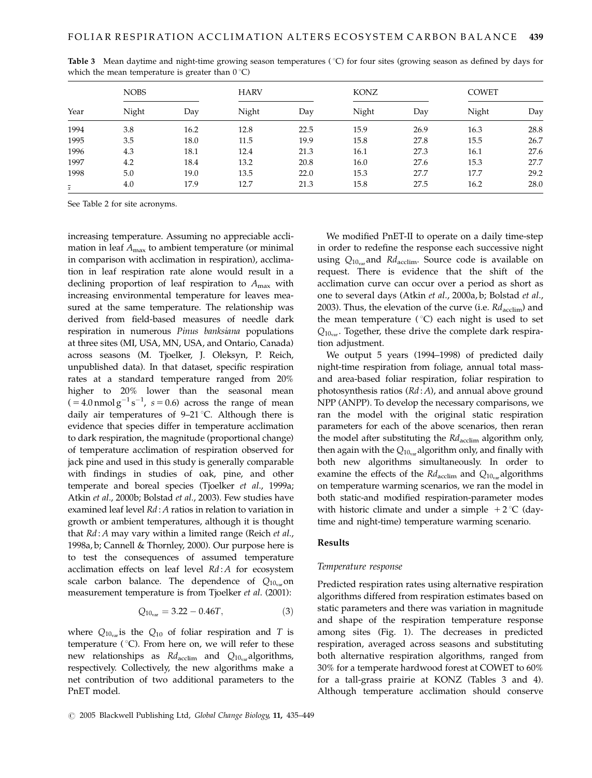|                | <b>NOBS</b> |      | <b>HARV</b> |      | KONZ  |      | <b>COWET</b> |      |  |
|----------------|-------------|------|-------------|------|-------|------|--------------|------|--|
| Year           | Night       | Day  | Night       | Day  | Night | Day  | Night        | Day  |  |
| 1994           | 3.8         | 16.2 | 12.8        | 22.5 | 15.9  | 26.9 | 16.3         | 28.8 |  |
| 1995           | 3.5         | 18.0 | 11.5        | 19.9 | 15.8  | 27.8 | 15.5         | 26.7 |  |
| 1996           | 4.3         | 18.1 | 12.4        | 21.3 | 16.1  | 27.3 | 16.1         | 27.6 |  |
| 1997           | 4.2         | 18.4 | 13.2        | 20.8 | 16.0  | 27.6 | 15.3         | 27.7 |  |
| 1998           | 5.0         | 19.0 | 13.5        | 22.0 | 15.3  | 27.7 | 17.7         | 29.2 |  |
| $\overline{x}$ | 4.0         | 17.9 | 12.7        | 21.3 | 15.8  | 27.5 | 16.2         | 28.0 |  |

**Table 3** Mean daytime and night-time growing season temperatures ( $\degree$ C) for four sites (growing season as defined by days for which the mean temperature is greater than  $0^{\circ}$ C)

See Table 2 for site acronyms.

increasing temperature. Assuming no appreciable acclimation in leaf  $A_{\text{max}}$  to ambient temperature (or minimal in comparison with acclimation in respiration), acclimation in leaf respiration rate alone would result in a declining proportion of leaf respiration to  $A_{\text{max}}$  with increasing environmental temperature for leaves measured at the same temperature. The relationship was derived from field-based measures of needle dark respiration in numerous Pinus banksiana populations at three sites (MI, USA, MN, USA, and Ontario, Canada) across seasons (M. Tjoelker, J. Oleksyn, P. Reich, unpublished data). In that dataset, specific respiration rates at a standard temperature ranged from 20% higher to 20% lower than the seasonal mean  $(=4.0 \text{ nmol g}^{-1} \text{ s}^{-1}, \text{ s}=0.6)$  across the range of mean daily air temperatures of  $9-21$  °C. Although there is evidence that species differ in temperature acclimation to dark respiration, the magnitude (proportional change) of temperature acclimation of respiration observed for jack pine and used in this study is generally comparable with findings in studies of oak, pine, and other temperate and boreal species (Tjoelker et al., 1999a; Atkin et al., 2000b; Bolstad et al., 2003). Few studies have examined leaf level  $Rd: A$  ratios in relation to variation in growth or ambient temperatures, although it is thought that  $Rd: A$  may vary within a limited range (Reich et al., 1998a, b; Cannell & Thornley, 2000). Our purpose here is to test the consequences of assumed temperature acclimation effects on leaf level  $Rd:A$  for ecosystem scale carbon balance. The dependence of  $Q_{10_{var}}$  on measurement temperature is from Tjoelker et al. (2001):

$$
Q_{10_{var}} = 3.22 - 0.46T, \tag{3}
$$

where  $Q_{10_{var}}$  is the  $Q_{10}$  of foliar respiration and T is temperature ( $°C$ ). From here on, we will refer to these new relationships as  $Rd_{\text{acclim}}$  and  $Q_{10_{\text{var}}}$  algorithms, respectively. Collectively, the new algorithms make a net contribution of two additional parameters to the PnET model.

We modified PnET-II to operate on a daily time-step in order to redefine the response each successive night using  $Q_{10_{\text{var}}}$  and  $Rd_{\text{acclim}}$ . Source code is available on request. There is evidence that the shift of the acclimation curve can occur over a period as short as one to several days (Atkin et al., 2000a, b; Bolstad et al., 2003). Thus, the elevation of the curve (i.e.  $Rd_{\text{acclim}}$ ) and the mean temperature  $(°C)$  each night is used to set  $Q_{10_{var}}$ . Together, these drive the complete dark respiration adjustment.

We output 5 years (1994–1998) of predicted daily night-time respiration from foliage, annual total massand area-based foliar respiration, foliar respiration to photosynthesis ratios  $(Rd: A)$ , and annual above ground NPP (ANPP). To develop the necessary comparisons, we ran the model with the original static respiration parameters for each of the above scenarios, then reran the model after substituting the  $Rd$ <sub>acclim</sub> algorithm only, then again with the  $Q_{10_{\text{var}}}$  algorithm only, and finally with both new algorithms simultaneously. In order to examine the effects of the  $Rd_{\text{acclim}}$  and  $Q_{10_{\text{var}}}$ algorithms on temperature warming scenarios, we ran the model in both static-and modified respiration-parameter modes with historic climate and under a simple  $+2$  °C (daytime and night-time) temperature warming scenario.

# Results

## Temperature response

Predicted respiration rates using alternative respiration algorithms differed from respiration estimates based on static parameters and there was variation in magnitude and shape of the respiration temperature response among sites (Fig. 1). The decreases in predicted respiration, averaged across seasons and substituting both alternative respiration algorithms, ranged from 30% for a temperate hardwood forest at COWET to 60% for a tall-grass prairie at KONZ (Tables 3 and 4). Although temperature acclimation should conserve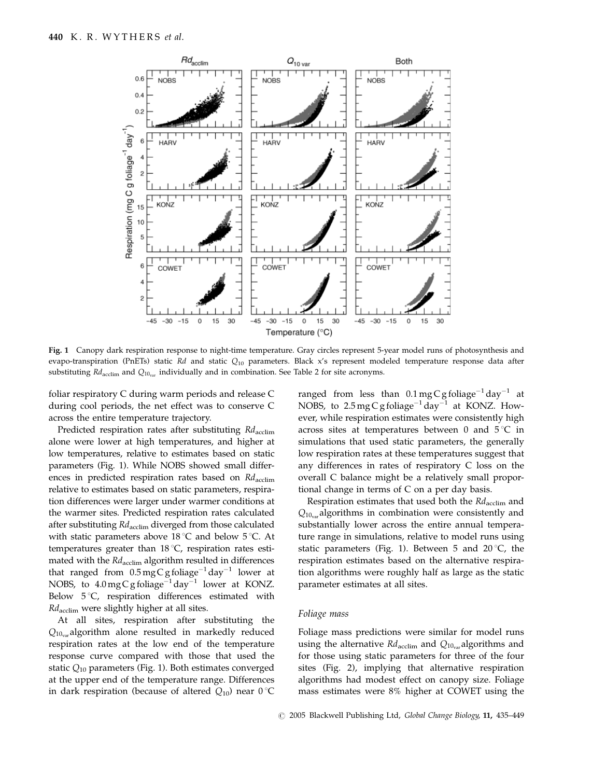

Fig. 1 Canopy dark respiration response to night-time temperature. Gray circles represent 5-year model runs of photosynthesis and evapo-transpiration (PnETs) static Rd and static Q<sub>10</sub> parameters. Black x's represent modeled temperature response data after substituting  $Rd_{\text{acclim}}$  and  $Q_{10\ldots}$  individually and in combination. See Table 2 for site acronyms.

foliar respiratory C during warm periods and release C during cool periods, the net effect was to conserve C across the entire temperature trajectory.

Predicted respiration rates after substituting  $Rd$ <sub>acclim</sub> alone were lower at high temperatures, and higher at low temperatures, relative to estimates based on static parameters (Fig. 1). While NOBS showed small differences in predicted respiration rates based on  $Rd$ <sub>acclim</sub> relative to estimates based on static parameters, respiration differences were larger under warmer conditions at the warmer sites. Predicted respiration rates calculated after substituting  $Rd_{\text{acclim}}$  diverged from those calculated with static parameters above  $18\degree C$  and below  $5\degree C$ . At temperatures greater than  $18\degree C$ , respiration rates estimated with the  $Rd_{\rm acclim}$  algorithm resulted in differences that ranged from  $0.5 \,\text{mgC}$  g foliage<sup>-1</sup> day<sup>-1</sup> lower at NOBS, to  $4.0 \text{ mgC g}$  foliage<sup>-1</sup> day<sup>-1</sup> lower at KONZ. Below  $5^{\circ}$ C, respiration differences estimated with  $Rd$ <sub>acclim</sub> were slightly higher at all sites.

At all sites, respiration after substituting the  $Q_{10}$ <sub>ara</sub> algorithm alone resulted in markedly reduced respiration rates at the low end of the temperature response curve compared with those that used the static  $Q_{10}$  parameters (Fig. 1). Both estimates converged at the upper end of the temperature range. Differences in dark respiration (because of altered  $Q_{10}$ ) near 0 °C

ranged from less than  $0.1 \,\text{mgC g}$  foliage<sup>-1</sup> day<sup>-1</sup> at NOBS, to  $2.5 \text{ mgC g}$  foliage<sup>-1</sup> day<sup>-1</sup> at KONZ. However, while respiration estimates were consistently high across sites at temperatures between 0 and  $5^{\circ}$ C in simulations that used static parameters, the generally low respiration rates at these temperatures suggest that any differences in rates of respiratory C loss on the overall C balance might be a relatively small proportional change in terms of C on a per day basis.

Respiration estimates that used both the  $Rd_{\text{acclim}}$  and  $Q_{10_{var}}$ algorithms in combination were consistently and substantially lower across the entire annual temperature range in simulations, relative to model runs using static parameters (Fig. 1). Between 5 and 20 $\degree$ C, the respiration estimates based on the alternative respiration algorithms were roughly half as large as the static parameter estimates at all sites.

### Foliage mass

Foliage mass predictions were similar for model runs using the alternative  $Rd_{\text{acclim}}$  and  $Q_{10_{\text{var}}}$ algorithms and for those using static parameters for three of the four sites (Fig. 2), implying that alternative respiration algorithms had modest effect on canopy size. Foliage mass estimates were 8% higher at COWET using the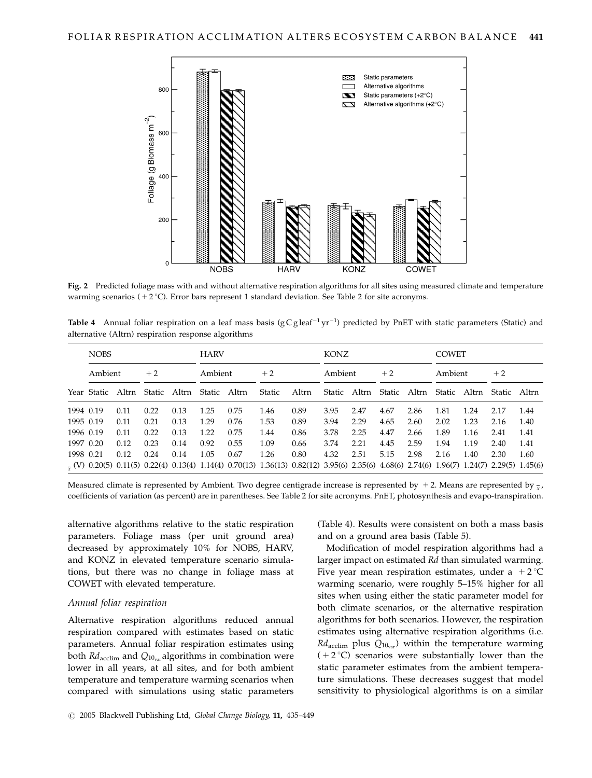

Fig. 2 Predicted foliage mass with and without alternative respiration algorithms for all sites using measured climate and temperature warming scenarios  $(+ 2 \degree C)$ . Error bars represent 1 standard deviation. See Table 2 for site acronyms.

**Table 4** Annual foliar respiration on a leaf mass basis ( $gCg$  leaf<sup>-1</sup> yr<sup>-1</sup>) predicted by PnET with static parameters (Static) and alternative (Altrn) respiration response algorithms

|           | <b>NOBS</b> |      |                                |      | <b>HARV</b>  |                                                                                                                                                          |        |       | <b>KONZ</b> |      |      |      | <b>COWET</b> |      |                                                     |      |  |
|-----------|-------------|------|--------------------------------|------|--------------|----------------------------------------------------------------------------------------------------------------------------------------------------------|--------|-------|-------------|------|------|------|--------------|------|-----------------------------------------------------|------|--|
|           | Ambient     |      | $+2$                           |      | Ambient      |                                                                                                                                                          | $+2$   |       | Ambient     |      | $+2$ |      | Ambient      |      | $+2$                                                |      |  |
|           |             |      | Year Static Altrn Static Altrn |      | Static Altrn |                                                                                                                                                          | Static | Altrn |             |      |      |      |              |      | Static Altrn Static Altrn Static Altrn Static Altrn |      |  |
| 1994 0.19 |             | 0.11 | 0.22                           | 0.13 | 1.25         | 0.75                                                                                                                                                     | 1.46   | 0.89  | 3.95        | 2.47 | 4.67 | 2.86 | 1.81         | 1.24 | 2.17                                                | 1.44 |  |
| 1995 0.19 |             | 0.11 | 0.21                           | 0.13 | 1.29         | 0.76                                                                                                                                                     | 1.53   | 0.89  | 3.94        | 2.29 | 4.65 | 2.60 | 2.02         | 1.23 | 2.16                                                | 1.40 |  |
| 1996 0.19 |             | 0.11 | 0.22                           | 0.13 | 1.22         | 0.75                                                                                                                                                     | 1.44   | 0.86  | 3.78        | 2.25 | 4.47 | 2.66 | 1.89         | 1.16 | 2.41                                                | 1.41 |  |
| 1997 0.20 |             | 0.12 | 0.23                           | 0.14 | 0.92         | 0.55                                                                                                                                                     | 1.09   | 0.66  | 3.74        | 2.21 | 4.45 | 2.59 | 1.94         | 1.19 | 2.40                                                | 1.41 |  |
| 1998 0.21 |             | 0.12 | 0.24                           | 0.14 | 1.05         | 0.67                                                                                                                                                     | 1.26   | 0.80  | 4.32        | 2.51 | 5.15 | 2.98 | 2.16         | 1.40 | 2.30                                                | 1.60 |  |
|           |             |      |                                |      |              | $_{\overline{v}}$ (V) 0.20(5) 0.11(5) 0.22(4) 0.13(4) 1.14(4) 0.70(13) 1.36(13) 0.82(12) 3.95(6) 2.35(6) 4.68(6) 2.74(6) 1.96(7) 1.24(7) 2.29(5) 1.45(6) |        |       |             |      |      |      |              |      |                                                     |      |  |

Measured climate is represented by Ambient. Two degree centigrade increase is represented by  $+2$ . Means are represented by  $\overline{z}$ , coefficients of variation (as percent) are in parentheses. See Table 2 for site acronyms. PnET, photosynthesis and evapo-transpiration.

alternative algorithms relative to the static respiration parameters. Foliage mass (per unit ground area) decreased by approximately 10% for NOBS, HARV, and KONZ in elevated temperature scenario simulations, but there was no change in foliage mass at COWET with elevated temperature.

## Annual foliar respiration

Alternative respiration algorithms reduced annual respiration compared with estimates based on static parameters. Annual foliar respiration estimates using both  $Rd_{\text{acclim}}$  and  $Q_{10}$ <sub>ax</sub> algorithms in combination were lower in all years, at all sites, and for both ambient temperature and temperature warming scenarios when compared with simulations using static parameters (Table 4). Results were consistent on both a mass basis and on a ground area basis (Table 5).

Modification of model respiration algorithms had a larger impact on estimated Rd than simulated warming. Five year mean respiration estimates, under a  $+ 2^{\circ}C$ warming scenario, were roughly 5–15% higher for all sites when using either the static parameter model for both climate scenarios, or the alternative respiration algorithms for both scenarios. However, the respiration estimates using alternative respiration algorithms (i.e.  $Rd_{\text{acclim}}$  plus  $Q_{10_{\text{var}}}$ ) within the temperature warming  $(+ 2<sup>o</sup>C)$  scenarios were substantially lower than the static parameter estimates from the ambient temperature simulations. These decreases suggest that model sensitivity to physiological algorithms is on a similar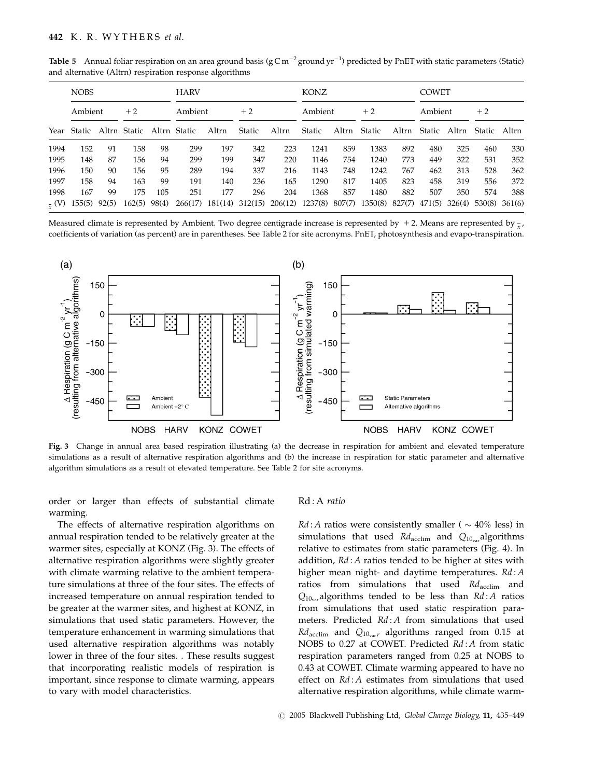|                    | <b>NOBS</b>    |    |        |       | <b>HARV</b>                                 |                                         |        |       | <b>KONZ</b> |              |                |       | <b>COWET</b> |        |               |     |  |
|--------------------|----------------|----|--------|-------|---------------------------------------------|-----------------------------------------|--------|-------|-------------|--------------|----------------|-------|--------------|--------|---------------|-----|--|
|                    | Ambient        |    | $+2$   |       | Ambient                                     |                                         | $+2$   |       | Ambient     |              | $+2$           |       | Ambient      |        | $+2$          |     |  |
|                    |                |    |        |       | Year Static Altrn Static Altrn Static Altrn |                                         | Static | Altrn | Static      | Altrn Static |                | Altrn | Static Altrn |        | Static Altrn  |     |  |
| 1994               | 152            | 91 | 158    | 98    | 299                                         | 197                                     | 342    | 223   | 1241        | 859          | 1383           | 892   | 480          | 325    | 460           | 330 |  |
| 1995               | 148            | 87 | 156    | 94    | 299                                         | 199                                     | 347    | 220   | 1146        | 754          | 1240           | 773   | 449          | 322    | 531           | 352 |  |
| 1996               | 150            | 90 | 156    | 95    | 289                                         | 194                                     | 337    | 216   | 1143        | 748          | 1242           | 767   | 462          | 313    | 528           | 362 |  |
| 1997               | 158            | 94 | 163    | 99    | 191                                         | 140                                     | 236    | 165   | 1290        | 817          | 1405           | 823   | 458          | 319    | 556           | 372 |  |
| 1998               | 167            | 99 | 175    | 105   | 251                                         | 177                                     | 296    | 204   | 1368        | 857          | 1480           | 882   | 507          | 350    | 574           | 388 |  |
| $\overline{z}$ (V) | $155(5)$ 92(5) |    | 162(5) | 98(4) |                                             | 266(17) 181(14) 312(15) 206(12) 1237(8) |        |       |             | 807(7)       | 1350(8) 827(7) |       | 471(5)       | 326(4) | 530(8) 361(6) |     |  |

**Table 5** Annual foliar respiration on an area ground basis ( $gCm^{-2}$  ground  $yr^{-1}$ ) predicted by PnET with static parameters (Static) and alternative (Altrn) respiration response algorithms

Measured climate is represented by Ambient. Two degree centigrade increase is represented by  $+2$ . Means are represented by  $\overline{z}$ , coefficients of variation (as percent) are in parentheses. See Table 2 for site acronyms. PnET, photosynthesis and evapo-transpiration.



Fig. 3 Change in annual area based respiration illustrating (a) the decrease in respiration for ambient and elevated temperature simulations as a result of alternative respiration algorithms and (b) the increase in respiration for static parameter and alternative algorithm simulations as a result of elevated temperature. See Table 2 for site acronyms.

order or larger than effects of substantial climate warming.

The effects of alternative respiration algorithms on annual respiration tended to be relatively greater at the warmer sites, especially at KONZ (Fig. 3). The effects of alternative respiration algorithms were slightly greater with climate warming relative to the ambient temperature simulations at three of the four sites. The effects of increased temperature on annual respiration tended to be greater at the warmer sites, and highest at KONZ, in simulations that used static parameters. However, the temperature enhancement in warming simulations that used alternative respiration algorithms was notably lower in three of the four sites. . These results suggest that incorporating realistic models of respiration is important, since response to climate warming, appears to vary with model characteristics.

# Rd : A ratio

 $Rd : A$  ratios were consistently smaller ( $\sim 40\%$  less) in simulations that used  $Rd_{\text{acclim}}$  and  $Q_{10_{\text{var}}}$  algorithms relative to estimates from static parameters (Fig. 4). In addition,  $Rd: A$  ratios tended to be higher at sites with higher mean night- and daytime temperatures.  $Rd:A$ ratios from simulations that used  $Rd$ <sub>acclim</sub> and  $Q_{10_{var}}$ algorithms tended to be less than  $Rd:A$  ratios from simulations that used static respiration parameters. Predicted  $Rd:A$  from simulations that used  $Rd_{\text{acclim}}$  and  $Q_{10_{\text{var}}}$  algorithms ranged from 0.15 at NOBS to 0.27 at COWET. Predicted  $Rd:A$  from static respiration parameters ranged from 0.25 at NOBS to 0.43 at COWET. Climate warming appeared to have no effect on  $Rd: A$  estimates from simulations that used alternative respiration algorithms, while climate warm-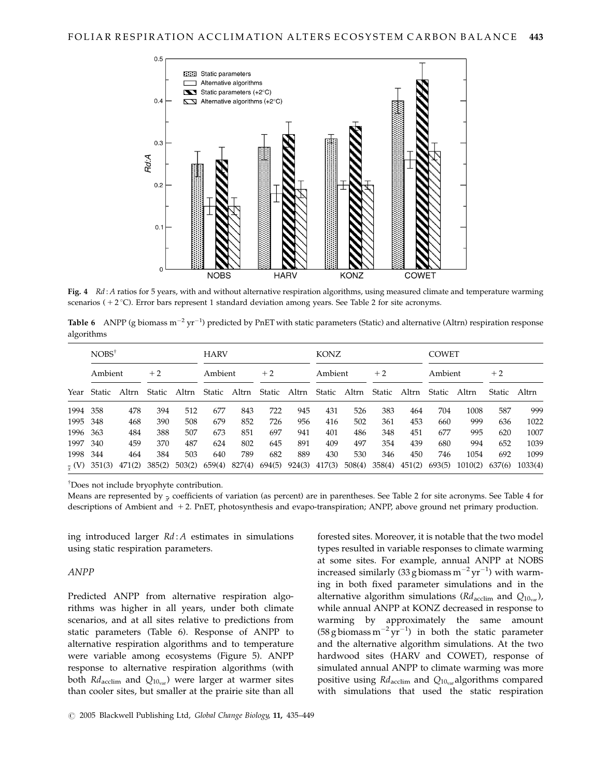

Fig. 4 Rd: A ratios for 5 years, with and without alternative respiration algorithms, using measured climate and temperature warming scenarios ( $+2$ °C). Error bars represent 1 standard deviation among years. See Table 2 for site acronyms.

**Table 6** ANPP (g biomass  $m^{-2}$  yr<sup>-1</sup>) predicted by PnET with static parameters (Static) and alternative (Altrn) respiration response algorithms

|          | NOBS <sup>†</sup>        |        |        |                                                                                                 | <b>HARV</b>     |     |                             |     | <b>KONZ</b> |     |                      |     | <b>COWET</b> |                       |              |         |  |
|----------|--------------------------|--------|--------|-------------------------------------------------------------------------------------------------|-----------------|-----|-----------------------------|-----|-------------|-----|----------------------|-----|--------------|-----------------------|--------------|---------|--|
|          | Ambient                  |        | $+2$   |                                                                                                 | Ambient         |     | $+2$                        |     | Ambient     |     | $+2$                 |     | Ambient      |                       | $+2$         |         |  |
|          |                          |        |        | Year Static Altrn Static Altrn Static Altrn Static Altrn Static Altrn Static Altrn Static Altrn |                 |     |                             |     |             |     |                      |     |              |                       | Static Altrn |         |  |
| 1994 358 |                          | 478    | 394    | 512                                                                                             | 677             | 843 | 722                         | 945 | 431         | 526 | 383                  | 464 | 704          | 1008                  | 587          | 999     |  |
| 1995 348 |                          | 468    | 390    | 508                                                                                             | 679             | 852 | 726                         | 956 | 416         | 502 | 361                  | 453 | 660          | 999                   | 636          | 1022    |  |
| 1996 363 |                          | 484    | 388    | 507                                                                                             | 673             | 851 | 697                         | 941 | 401         | 486 | 348                  | 451 | 677          | 995                   | 620          | 1007    |  |
| 1997 340 |                          | 459    | 370    | 487                                                                                             | 624             | 802 | 645                         | 891 | 409         | 497 | 354                  | 439 | 680          | 994                   | 652          | 1039    |  |
| 1998 344 |                          | 464    | 384    | 503                                                                                             | 640             | 789 | 682                         | 889 | 430         | 530 | 346                  | 450 | 746          | 1054                  | 692          | 1099    |  |
|          | $\frac{1}{x}$ (V) 351(3) | 471(2) | 385(2) |                                                                                                 | $503(2)$ 659(4) |     | 827(4) 694(5) 924(3) 417(3) |     |             |     | 508(4) 358(4) 451(2) |     |              | 693(5) 1010(2) 637(6) |              | 1033(4) |  |

"Does not include bryophyte contribution.

Means are represented by  $_{\bar{x}}$  coefficients of variation (as percent) are in parentheses. See Table 2 for site acronyms. See Table 4 for descriptions of Ambient and +2. PnET, photosynthesis and evapo-transpiration; ANPP, above ground net primary production.

ing introduced larger  $Rd: A$  estimates in simulations using static respiration parameters.

### ANPP

Predicted ANPP from alternative respiration algorithms was higher in all years, under both climate scenarios, and at all sites relative to predictions from static parameters (Table 6). Response of ANPP to alternative respiration algorithms and to temperature were variable among ecosystems (Figure 5). ANPP response to alternative respiration algorithms (with both  $Rd_{\text{acclim}}$  and  $Q_{10_{\text{var}}}$ ) were larger at warmer sites than cooler sites, but smaller at the prairie site than all forested sites. Moreover, it is notable that the two model types resulted in variable responses to climate warming at some sites. For example, annual ANPP at NOBS increased similarly (33 g biomass  $\text{m}^{-2}\text{yr}^{-1}$ ) with warming in both fixed parameter simulations and in the alternative algorithm simulations ( $Rd_{\text{acclim}}$  and  $Q_{10_{\text{var}}},$ ), while annual ANPP at KONZ decreased in response to warming by approximately the same amount  $(58 \text{ g} \text{ biomass} \text{ m}^{-2} \text{ yr}^{-1})$  in both the static parameter and the alternative algorithm simulations. At the two hardwood sites (HARV and COWET), response of simulated annual ANPP to climate warming was more positive using  $Rd_{\text{acclim}}$  and  $Q_{10_{\text{var}}}$  algorithms compared with simulations that used the static respiration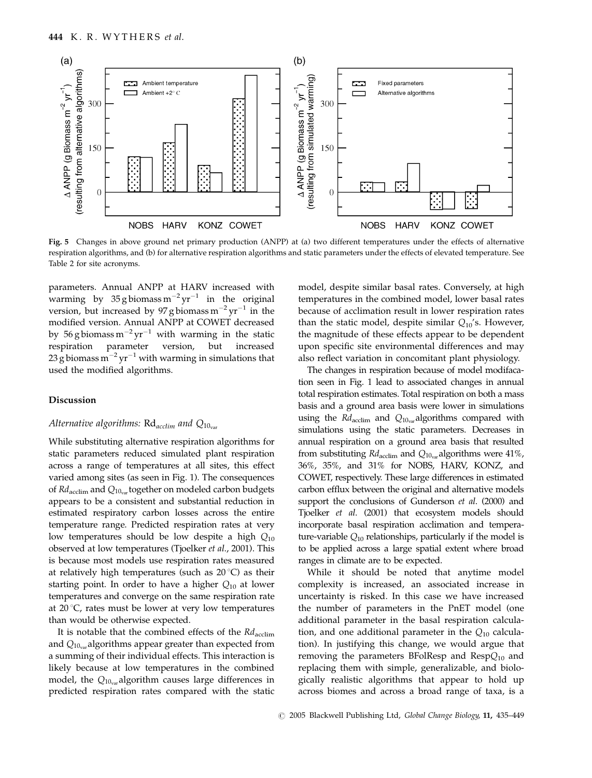

Fig. 5 Changes in above ground net primary production (ANPP) at (a) two different temperatures under the effects of alternative respiration algorithms, and (b) for alternative respiration algorithms and static parameters under the effects of elevated temperature. See Table 2 for site acronyms.

parameters. Annual ANPP at HARV increased with warming by  $35 g \text{ biomass} \text{m}^{-2} \text{yr}^{-1}$  in the original version, but increased by 97 g biomass  $m^{-2}$  yr<sup>-1</sup> in the modified version. Annual ANPP at COWET decreased by 56 g biomass  $m^{-2}yr^{-1}$  with warming in the static respiration parameter version, but increased 23 g biomass  $m^{-2}$  yr<sup>-1</sup> with warming in simulations that used the modified algorithms.

# Discussion

## Alternative algorithms:  $Rd_{\text{acclim}}$  and  $Q_{10_{\text{var}}}$

While substituting alternative respiration algorithms for static parameters reduced simulated plant respiration across a range of temperatures at all sites, this effect varied among sites (as seen in Fig. 1). The consequences of  $Rd_{\text{acclim}}$  and  $Q_{10_{\text{var}}}$  together on modeled carbon budgets appears to be a consistent and substantial reduction in estimated respiratory carbon losses across the entire temperature range. Predicted respiration rates at very low temperatures should be low despite a high  $Q_{10}$ observed at low temperatures (Tjoelker et al., 2001). This is because most models use respiration rates measured at relatively high temperatures (such as  $20^{\circ}$ C) as their starting point. In order to have a higher  $Q_{10}$  at lower temperatures and converge on the same respiration rate at  $20^{\circ}$ C, rates must be lower at very low temperatures than would be otherwise expected.

It is notable that the combined effects of the  $Rd_{\text{acclim}}$ and  $Q_{10_{var}}$ algorithms appear greater than expected from a summing of their individual effects. This interaction is likely because at low temperatures in the combined model, the  $Q_{10_{\text{var}}}$ algorithm causes large differences in predicted respiration rates compared with the static model, despite similar basal rates. Conversely, at high temperatures in the combined model, lower basal rates because of acclimation result in lower respiration rates than the static model, despite similar  $Q_{10}$ 's. However, the magnitude of these effects appear to be dependent upon specific site environmental differences and may also reflect variation in concomitant plant physiology.

The changes in respiration because of model modifacation seen in Fig. 1 lead to associated changes in annual total respiration estimates. Total respiration on both a mass basis and a ground area basis were lower in simulations using the  $Rd_{\text{acclim}}$  and  $Q_{10_{\text{var}}}$  algorithms compared with simulations using the static parameters. Decreases in annual respiration on a ground area basis that resulted from substituting  $Rd_{\text{acclim}}$  and  $Q_{10_{\text{var}}}$  algorithms were 41%, 36%, 35%, and 31% for NOBS, HARV, KONZ, and COWET, respectively. These large differences in estimated carbon efflux between the original and alternative models support the conclusions of Gunderson et al. (2000) and Tjoelker et al. (2001) that ecosystem models should incorporate basal respiration acclimation and temperature-variable  $Q_{10}$  relationships, particularly if the model is to be applied across a large spatial extent where broad ranges in climate are to be expected.

While it should be noted that anytime model complexity is increased, an associated increase in uncertainty is risked. In this case we have increased the number of parameters in the PnET model (one additional parameter in the basal respiration calculation, and one additional parameter in the  $Q_{10}$  calculation). In justifying this change, we would argue that removing the parameters BFolResp and  $\text{Resp}Q_{10}$  and replacing them with simple, generalizable, and biologically realistic algorithms that appear to hold up across biomes and across a broad range of taxa, is a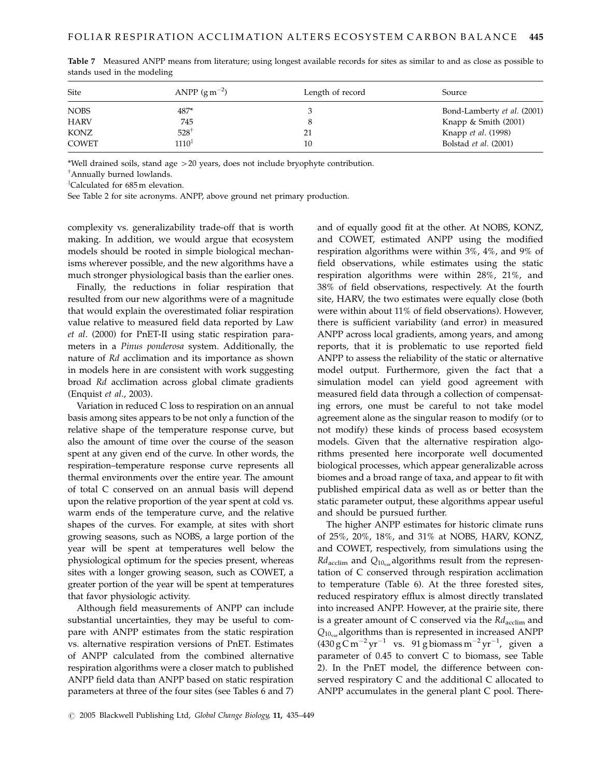| <b>Site</b>  | ANPP $(g m^{-2})$ | Length of record | Source                      |
|--------------|-------------------|------------------|-----------------------------|
| <b>NOBS</b>  | 487*              |                  | Bond-Lamberty et al. (2001) |
| <b>HARV</b>  | 745               |                  | Knapp $\&$ Smith (2001)     |
| <b>KONZ</b>  | $528^{+}$         | 21               | Knapp et al. (1998)         |
| <b>COWET</b> | $1110^{\ddagger}$ | 10               | Bolstad et al. (2001)       |

Table 7 Measured ANPP means from literature; using longest available records for sites as similar to and as close as possible to stands used in the modeling

\*Well drained soils, stand age *4*20 years, does not include bryophyte contribution.

'Annually burned lowlands.

<sup>‡</sup>Calculated for 685 m elevation.

See Table 2 for site acronyms. ANPP, above ground net primary production.

complexity vs. generalizability trade-off that is worth making. In addition, we would argue that ecosystem models should be rooted in simple biological mechanisms wherever possible, and the new algorithms have a much stronger physiological basis than the earlier ones.

Finally, the reductions in foliar respiration that resulted from our new algorithms were of a magnitude that would explain the overestimated foliar respiration value relative to measured field data reported by Law et al. (2000) for PnET-II using static respiration parameters in a Pinus ponderosa system. Additionally, the nature of Rd acclimation and its importance as shown in models here in are consistent with work suggesting broad Rd acclimation across global climate gradients (Enquist et al., 2003).

Variation in reduced C loss to respiration on an annual basis among sites appears to be not only a function of the relative shape of the temperature response curve, but also the amount of time over the course of the season spent at any given end of the curve. In other words, the respiration–temperature response curve represents all thermal environments over the entire year. The amount of total C conserved on an annual basis will depend upon the relative proportion of the year spent at cold vs. warm ends of the temperature curve, and the relative shapes of the curves. For example, at sites with short growing seasons, such as NOBS, a large portion of the year will be spent at temperatures well below the physiological optimum for the species present, whereas sites with a longer growing season, such as COWET, a greater portion of the year will be spent at temperatures that favor physiologic activity.

Although field measurements of ANPP can include substantial uncertainties, they may be useful to compare with ANPP estimates from the static respiration vs. alternative respiration versions of PnET. Estimates of ANPP calculated from the combined alternative respiration algorithms were a closer match to published ANPP field data than ANPP based on static respiration parameters at three of the four sites (see Tables 6 and 7) and of equally good fit at the other. At NOBS, KONZ, and COWET, estimated ANPP using the modified respiration algorithms were within 3%, 4%, and 9% of field observations, while estimates using the static respiration algorithms were within 28%, 21%, and 38% of field observations, respectively. At the fourth site, HARV, the two estimates were equally close (both were within about 11% of field observations). However, there is sufficient variability (and error) in measured ANPP across local gradients, among years, and among reports, that it is problematic to use reported field ANPP to assess the reliability of the static or alternative model output. Furthermore, given the fact that a simulation model can yield good agreement with measured field data through a collection of compensating errors, one must be careful to not take model agreement alone as the singular reason to modify (or to not modify) these kinds of process based ecosystem models. Given that the alternative respiration algorithms presented here incorporate well documented biological processes, which appear generalizable across biomes and a broad range of taxa, and appear to fit with published empirical data as well as or better than the static parameter output, these algorithms appear useful and should be pursued further.

The higher ANPP estimates for historic climate runs of 25%, 20%, 18%, and 31% at NOBS, HARV, KONZ, and COWET, respectively, from simulations using the  $Rd$ <sub>acclim</sub> and  $Q_{10<sub>var</sub>}$ algorithms result from the representation of C conserved through respiration acclimation to temperature (Table 6). At the three forested sites, reduced respiratory efflux is almost directly translated into increased ANPP. However, at the prairie site, there is a greater amount of C conserved via the  $Rd_{\text{acclim}}$  and  $Q_{10}$ <sub>ara</sub>lgorithms than is represented in increased ANPP  $(430\,\text{g}\,\text{C}\,\text{m}^{-2}\,\text{yr}^{-1}$  vs. 91 g biomass  $\text{m}^{-2}\,\text{yr}^{-1}$ , given a parameter of 0.45 to convert C to biomass, see Table 2). In the PnET model, the difference between conserved respiratory C and the additional C allocated to ANPP accumulates in the general plant C pool. There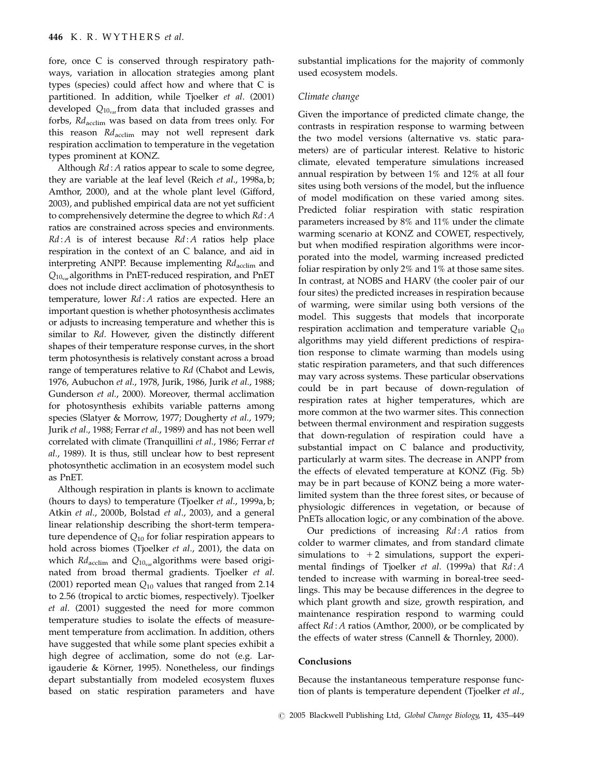fore, once C is conserved through respiratory pathways, variation in allocation strategies among plant types (species) could affect how and where that C is partitioned. In addition, while Tjoelker et al. (2001) developed  $Q_{10_{var}}$  from data that included grasses and forbs,  $Rd_{\rm acclim}$  was based on data from trees only. For this reason  $Rd$ <sub>acclim</sub> may not well represent dark respiration acclimation to temperature in the vegetation types prominent at KONZ.

Although  $Rd: A$  ratios appear to scale to some degree, they are variable at the leaf level (Reich et al., 1998a, b; Amthor, 2000), and at the whole plant level (Gifford, 2003), and published empirical data are not yet sufficient to comprehensively determine the degree to which Rd : A ratios are constrained across species and environments.  $Rd:A$  is of interest because  $Rd:A$  ratios help place respiration in the context of an C balance, and aid in interpreting ANPP. Because implementing  $Rd_{\text{acclim}}$  and  $Q_{10_{\text{var}}}$ algorithms in PnET-reduced respiration, and PnET does not include direct acclimation of photosynthesis to temperature, lower  $Rd:A$  ratios are expected. Here an important question is whether photosynthesis acclimates or adjusts to increasing temperature and whether this is similar to Rd. However, given the distinctly different shapes of their temperature response curves, in the short term photosynthesis is relatively constant across a broad range of temperatures relative to Rd (Chabot and Lewis, 1976, Aubuchon et al., 1978, Jurik, 1986, Jurik et al., 1988; Gunderson et al., 2000). Moreover, thermal acclimation for photosynthesis exhibits variable patterns among species (Slatyer & Morrow, 1977; Dougherty et al., 1979; Jurik et al., 1988; Ferrar et al., 1989) and has not been well correlated with climate (Tranquillini et al., 1986; Ferrar et al., 1989). It is thus, still unclear how to best represent photosynthetic acclimation in an ecosystem model such as PnET.

Although respiration in plants is known to acclimate (hours to days) to temperature (Tjoelker et al., 1999a, b; Atkin et al., 2000b, Bolstad et al., 2003), and a general linear relationship describing the short-term temperature dependence of  $Q_{10}$  for foliar respiration appears to hold across biomes (Tjoelker et al., 2001), the data on which  $Rd_{\text{acclim}}$  and  $Q_{10_{\text{var}}}$ algorithms were based originated from broad thermal gradients. Tjoelker et al. (2001) reported mean  $Q_{10}$  values that ranged from 2.14 to 2.56 (tropical to arctic biomes, respectively). Tjoelker et al. (2001) suggested the need for more common temperature studies to isolate the effects of measurement temperature from acclimation. In addition, others have suggested that while some plant species exhibit a high degree of acclimation, some do not (e.g. Larigauderie & Körner, 1995). Nonetheless, our findings depart substantially from modeled ecosystem fluxes based on static respiration parameters and have substantial implications for the majority of commonly used ecosystem models.

## Climate change

Given the importance of predicted climate change, the contrasts in respiration response to warming between the two model versions (alternative vs. static parameters) are of particular interest. Relative to historic climate, elevated temperature simulations increased annual respiration by between 1% and 12% at all four sites using both versions of the model, but the influence of model modification on these varied among sites. Predicted foliar respiration with static respiration parameters increased by 8% and 11% under the climate warming scenario at KONZ and COWET, respectively, but when modified respiration algorithms were incorporated into the model, warming increased predicted foliar respiration by only 2% and 1% at those same sites. In contrast, at NOBS and HARV (the cooler pair of our four sites) the predicted increases in respiration because of warming, were similar using both versions of the model. This suggests that models that incorporate respiration acclimation and temperature variable  $Q_{10}$ algorithms may yield different predictions of respiration response to climate warming than models using static respiration parameters, and that such differences may vary across systems. These particular observations could be in part because of down-regulation of respiration rates at higher temperatures, which are more common at the two warmer sites. This connection between thermal environment and respiration suggests that down-regulation of respiration could have a substantial impact on C balance and productivity, particularly at warm sites. The decrease in ANPP from the effects of elevated temperature at KONZ (Fig. 5b) may be in part because of KONZ being a more waterlimited system than the three forest sites, or because of physiologic differences in vegetation, or because of PnETs allocation logic, or any combination of the above.

Our predictions of increasing  $Rd:A$  ratios from colder to warmer climates, and from standard climate simulations to  $+2$  simulations, support the experimental findings of Tjoelker et al. (1999a) that  $Rd:A$ tended to increase with warming in boreal-tree seedlings. This may be because differences in the degree to which plant growth and size, growth respiration, and maintenance respiration respond to warming could affect  $Rd: A$  ratios (Amthor, 2000), or be complicated by the effects of water stress (Cannell & Thornley, 2000).

#### Conclusions

Because the instantaneous temperature response function of plants is temperature dependent (Tjoelker et al.,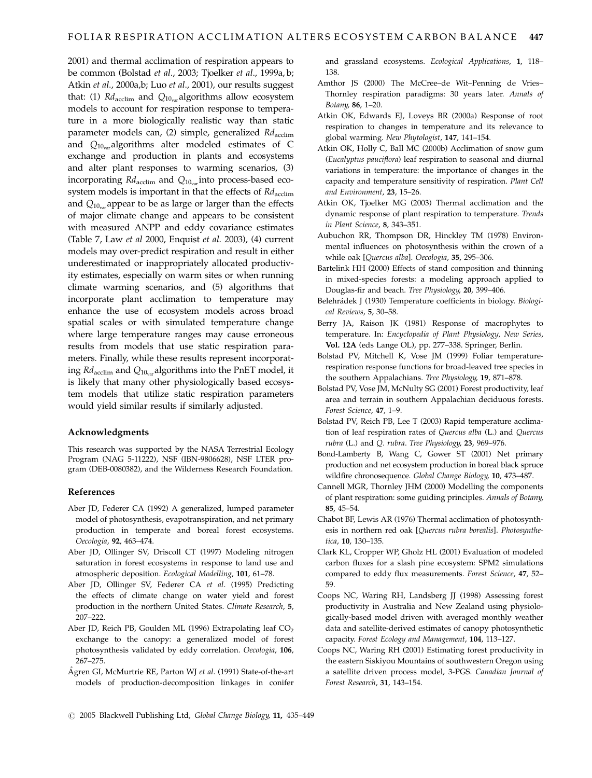2001) and thermal acclimation of respiration appears to be common (Bolstad et al., 2003; Tjoelker et al., 1999a, b; Atkin et al., 2000a,b; Luo et al., 2001), our results suggest that: (1)  $Rd_{\text{acclim}}$  and  $Q_{10_{\text{var}}}$  algorithms allow ecosystem models to account for respiration response to temperature in a more biologically realistic way than static parameter models can, (2) simple, generalized  $Rd$ <sub>acclim</sub> and  $Q_{10}$ <sub>ware</sub> algorithms alter modeled estimates of C exchange and production in plants and ecosystems and alter plant responses to warming scenarios, (3) incorporating  $Rd_{\text{acclim}}$  and  $Q_{10_{\text{var}}}$  into process-based ecosystem models is important in that the effects of  $Rd$ <sub>acclim</sub> and  $Q_{10}$ <sub>wa</sub> appear to be as large or larger than the effects of major climate change and appears to be consistent with measured ANPP and eddy covariance estimates (Table 7, Law et al 2000, Enquist et al. 2003), (4) current models may over-predict respiration and result in either underestimated or inappropriately allocated productivity estimates, especially on warm sites or when running climate warming scenarios, and (5) algorithms that incorporate plant acclimation to temperature may enhance the use of ecosystem models across broad spatial scales or with simulated temperature change where large temperature ranges may cause erroneous results from models that use static respiration parameters. Finally, while these results represent incorporating  $Rd_{\text{acclim}}$  and  $Q_{10_{\text{var}}}$ algorithms into the PnET model, it is likely that many other physiologically based ecosystem models that utilize static respiration parameters would yield similar results if similarly adjusted.

### Acknowledgments

This research was supported by the NASA Terrestrial Ecology Program (NAG 5-11222), NSF (IBN-9806628), NSF LTER program (DEB-0080382), and the Wilderness Research Foundation.

### References

- Aber JD, Federer CA (1992) A generalized, lumped parameter model of photosynthesis, evapotranspiration, and net primary production in temperate and boreal forest ecosystems. Oecologia, 92, 463–474.
- Aber JD, Ollinger SV, Driscoll CT (1997) Modeling nitrogen saturation in forest ecosystems in response to land use and atmospheric deposition. Ecological Modelling, 101, 61–78.
- Aber JD, Ollinger SV, Federer CA et al. (1995) Predicting the effects of climate change on water yield and forest production in the northern United States. Climate Research, 5, 207–222.
- Aber JD, Reich PB, Goulden ML (1996) Extrapolating leaf CO<sub>2</sub> exchange to the canopy: a generalized model of forest photosynthesis validated by eddy correlation. Oecologia, 106, 267–275.
- Ågren GI, McMurtrie RE, Parton WJ et al. (1991) State-of-the-art models of production-decomposition linkages in conifer

and grassland ecosystems. Ecological Applications, 1, 118– 138.

- Amthor JS (2000) The McCree–de Wit–Penning de Vries– Thornley respiration paradigms: 30 years later. Annals of Botany, 86, 1–20.
- Atkin OK, Edwards EJ, Loveys BR (2000a) Response of root respiration to changes in temperature and its relevance to global warming. New Phytologist, 147, 141–154.
- Atkin OK, Holly C, Ball MC (2000b) Acclimation of snow gum (Eucalyptus pauciflora) leaf respiration to seasonal and diurnal variations in temperature: the importance of changes in the capacity and temperature sensitivity of respiration. Plant Cell and Environment, 23, 15–26.
- Atkin OK, Tjoelker MG (2003) Thermal acclimation and the dynamic response of plant respiration to temperature. Trends in Plant Science, 8, 343–351.
- Aubuchon RR, Thompson DR, Hinckley TM (1978) Environmental influences on photosynthesis within the crown of a while oak [Quercus alba]. Oecologia, 35, 295-306.
- Bartelink HH (2000) Effects of stand composition and thinning in mixed-species forests: a modeling approach applied to Douglas-fir and beach. Tree Physiology, 20, 399–406.
- Belehrádek J (1930) Temperature coefficients in biology. Biological Reviews, 5, 30–58.
- Berry JA, Raison JK (1981) Response of macrophytes to temperature. In: Encyclopedia of Plant Physiology, New Series, Vol. 12A (eds Lange OL), pp. 277–338. Springer, Berlin.
- Bolstad PV, Mitchell K, Vose JM (1999) Foliar temperaturerespiration response functions for broad-leaved tree species in the southern Appalachians. Tree Physiology, 19, 871–878.
- Bolstad PV, Vose JM, McNulty SG (2001) Forest productivity, leaf area and terrain in southern Appalachian deciduous forests. Forest Science, 47, 1–9.
- Bolstad PV, Reich PB, Lee T (2003) Rapid temperature acclimation of leaf respiration rates of Quercus alba (L.) and Quercus rubra (L.) and Q. rubra. Tree Physiology, 23, 969-976.
- Bond-Lamberty B, Wang C, Gower ST (2001) Net primary production and net ecosystem production in boreal black spruce wildfire chronosequence. Global Change Biology, 10, 473–487.
- Cannell MGR, Thornley JHM (2000) Modelling the components of plant respiration: some guiding principles. Annals of Botany, 85, 45–54.
- Chabot BF, Lewis AR (1976) Thermal acclimation of photosynthesis in northern red oak [Quercus rubra borealis]. Photosynthetica, 10, 130–135.
- Clark KL, Cropper WP, Gholz HL (2001) Evaluation of modeled carbon fluxes for a slash pine ecosystem: SPM2 simulations compared to eddy flux measurements. Forest Science, 47, 52– 59.
- Coops NC, Waring RH, Landsberg JJ (1998) Assessing forest productivity in Australia and New Zealand using physiologically-based model driven with averaged monthly weather data and satellite-derived estimates of canopy photosynthetic capacity. Forest Ecology and Management, 104, 113-127.
- Coops NC, Waring RH (2001) Estimating forest productivity in the eastern Siskiyou Mountains of southwestern Oregon using a satellite driven process model, 3-PGS. Canadian Journal of Forest Research, 31, 143–154.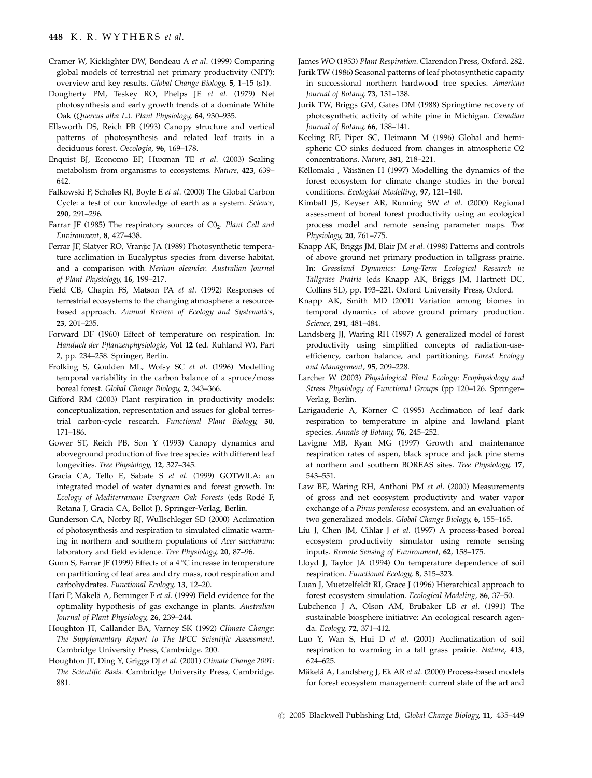- Cramer W, Kicklighter DW, Bondeau A et al. (1999) Comparing global models of terrestrial net primary productivity (NPP): overview and key results. Global Change Biology, 5, 1–15 (s1).
- Dougherty PM, Teskey RO, Phelps JE et al. (1979) Net photosynthesis and early growth trends of a dominate White Oak (Quercus alba L.). Plant Physiology, 64, 930–935.
- Ellsworth DS, Reich PB (1993) Canopy structure and vertical patterns of photosynthesis and related leaf traits in a deciduous forest. Oecologia, 96, 169–178.
- Enquist BJ, Economo EP, Huxman TE et al. (2003) Scaling metabolism from organisms to ecosystems. Nature, 423, 639– 642.
- Falkowski P, Scholes RJ, Boyle E et al. (2000) The Global Carbon Cycle: a test of our knowledge of earth as a system. Science, 290, 291–296.
- Farrar JF (1985) The respiratory sources of  $CO<sub>2</sub>$ . Plant Cell and Environment, 8, 427–438.
- Ferrar JF, Slatyer RO, Vranjic JA (1989) Photosynthetic temperature acclimation in Eucalyptus species from diverse habitat, and a comparison with Nerium oleander. Australian Journal of Plant Physiology, 16, 199–217.
- Field CB, Chapin FS, Matson PA et al. (1992) Responses of terrestrial ecosystems to the changing atmosphere: a resourcebased approach. Annual Review of Ecology and Systematics, 23, 201–235.
- Forward DF (1960) Effect of temperature on respiration. In: Handuch der Pflanzenphysiologie, Vol 12 (ed. Ruhland W), Part 2, pp. 234–258. Springer, Berlin.
- Frolking S, Goulden ML, Wofsy SC et al. (1996) Modelling temporal variability in the carbon balance of a spruce/moss boreal forest. Global Change Biology, 2, 343–366.
- Gifford RM (2003) Plant respiration in productivity models: conceptualization, representation and issues for global terrestrial carbon-cycle research. Functional Plant Biology, 30, 171–186.
- Gower ST, Reich PB, Son Y (1993) Canopy dynamics and aboveground production of five tree species with different leaf longevities. Tree Physiology, 12, 327–345.
- Gracia CA, Tello E, Sabate S et al. (1999) GOTWILA: an integrated model of water dynamics and forest growth. In: Ecology of Mediterranean Evergreen Oak Forests (eds Rodé F, Retana J, Gracia CA, Bellot J), Springer-Verlag, Berlin.
- Gunderson CA, Norby RJ, Wullschleger SD (2000) Acclimation of photosynthesis and respiration to simulated climatic warming in northern and southern populations of Acer saccharum: laboratory and field evidence. Tree Physiology, 20, 87–96.
- Gunn S, Farrar JF (1999) Effects of a  $4^{\circ}$ C increase in temperature on partitioning of leaf area and dry mass, root respiration and carbohydrates. Functional Ecology, 13, 12–20.
- Hari P, Mäkelä A, Berninger F et al. (1999) Field evidence for the optimality hypothesis of gas exchange in plants. Australian Journal of Plant Physiology, 26, 239–244.
- Houghton JT, Callander BA, Varney SK (1992) Climate Change: The Supplementary Report to The IPCC Scientific Assessment. Cambridge University Press, Cambridge. 200.
- Houghton JT, Ding Y, Griggs DJ et al. (2001) Climate Change 2001: The Scientific Basis. Cambridge University Press, Cambridge. 881.

James WO (1953) Plant Respiration. Clarendon Press, Oxford. 282.

- Jurik TW (1986) Seasonal patterns of leaf photosynthetic capacity in successional northern hardwood tree species. American Journal of Botany, 73, 131–138.
- Jurik TW, Briggs GM, Gates DM (1988) Springtime recovery of photosynthetic activity of white pine in Michigan. Canadian Journal of Botany, 66, 138–141.
- Keeling RF, Piper SC, Heimann M (1996) Global and hemispheric CO sinks deduced from changes in atmospheric O2 concentrations. Nature, 381, 218–221.
- Këllomaki, Väisänen H (1997) Modelling the dynamics of the forest ecosystem for climate change studies in the boreal conditions. Ecological Modelling, 97, 121–140.
- Kimball JS, Keyser AR, Running SW et al. (2000) Regional assessment of boreal forest productivity using an ecological process model and remote sensing parameter maps. Tree Physiology, 20, 761–775.
- Knapp AK, Briggs JM, Blair JM et al. (1998) Patterns and controls of above ground net primary production in tallgrass prairie. In: Grassland Dynamics: Long-Term Ecological Research in Tallgrass Prairie (eds Knapp AK, Briggs JM, Hartnett DC, Collins SL), pp. 193–221. Oxford University Press, Oxford.
- Knapp AK, Smith MD (2001) Variation among biomes in temporal dynamics of above ground primary production. Science, 291, 481–484.
- Landsberg JJ, Waring RH (1997) A generalized model of forest productivity using simplified concepts of radiation-useefficiency, carbon balance, and partitioning. Forest Ecology and Management, 95, 209–228.
- Larcher W (2003) Physiological Plant Ecology: Ecophysiology and Stress Physiology of Functional Groups (pp 120–126. Springer– Verlag, Berlin.
- Larigauderie A, Körner C (1995) Acclimation of leaf dark respiration to temperature in alpine and lowland plant species. Annals of Botany, 76, 245–252.
- Lavigne MB, Ryan MG (1997) Growth and maintenance respiration rates of aspen, black spruce and jack pine stems at northern and southern BOREAS sites. Tree Physiology, 17, 543–551.
- Law BE, Waring RH, Anthoni PM et al. (2000) Measurements of gross and net ecosystem productivity and water vapor exchange of a Pinus ponderosa ecosystem, and an evaluation of two generalized models. Global Change Biology, 6, 155–165.
- Liu J, Chen JM, Cihlar J et al. (1997) A process-based boreal ecosystem productivity simulator using remote sensing inputs. Remote Sensing of Environment, 62, 158–175.
- Lloyd J, Taylor JA (1994) On temperature dependence of soil respiration. Functional Ecology, 8, 315–323.
- Luan J, Muetzelfeldt RI, Grace J (1996) Hierarchical approach to forest ecosystem simulation. Ecological Modeling, 86, 37–50.
- Lubchenco J A, Olson AM, Brubaker LB et al. (1991) The sustainable biosphere initiative: An ecological research agenda. Ecology, 72, 371–412.
- Luo Y, Wan S, Hui D et al. (2001) Acclimatization of soil respiration to warming in a tall grass prairie. Nature, 413, 624–625.
- Mäkelä A, Landsberg J, Ek AR et al. (2000) Process-based models for forest ecosystem management: current state of the art and